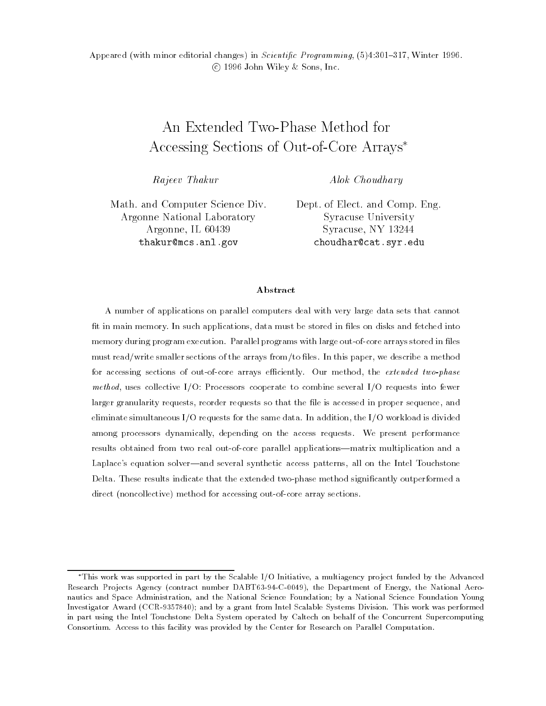$\Lambda$ ppeared (with minor editorial changes) in *petentific 1 rogramming*, (9)4.001=011, Winter 1990. recovered the sons-construction of the sons of the sons of the sons of the sons of the sons of the sons of the

# An Extended Two-Phase Method for Accessing Sections of Out-of-Core Arrays<sup>\*</sup>

Rajeev Thakur Alok Choudhary

Math. and Computer Science Div. Dept. of Elect. and Comp. Eng. Argonne National Laboratory Syracuse University Argonne, IL 60439 thakur@mcs.anl.gov

Syracuse, NY 13244 choudhar@cat.syr.edu

### Abstract

A number of applications on parallel computers deal with very large data sets that cannot t in main memory
 In such applications- data must be stored in les on disks and fetched into memory during program execution. Parallel programs with large out-of-core arrays stored in files must ready went sections sections of the arrays from  $\mu$  the array from the array we describe a method of the for accessing sections of out-of-core arrays emerging. Our method, the extended two-phase method-active collective I of IIocessors cooperate to collective several of Iequests into fewer larger granularity requests- reorder requests so that the le is accessed in proper sequence- and eliminate simultaneous IO requests for the same data
 In addition- the IO workload is divided among processes aymeterially-mapermany-among the access requests requests provided performance results obtained from two real out-of-core parallel applications—matrix multiplication and a Laplaces equation solverand several synthetic access patterns- all on the Intel Touchstone Delta. These results indicate that the extended two-phase method significantly outperformed a direct (noncollective) method for accessing out-of-core array sections.

<sup>\*</sup>This work was supported in part by the Scalable I/O Initiative, a multiagency project funded by the Advanced Research Projects Agency -contract number DABTC the Department of Energy the National Aero nautics and Space Administration and the National Science Foundation by a National Science Foundation Young Investigator Award -CCR
 and by a grant from Intel Scalable Systems Division This work was performed in part using the Intel Touchstone Delta System operated by Caltech on behalf of the Concurrent Supercomputing Consortium Access to this facility was provided by the Center for Research on Parallel Computation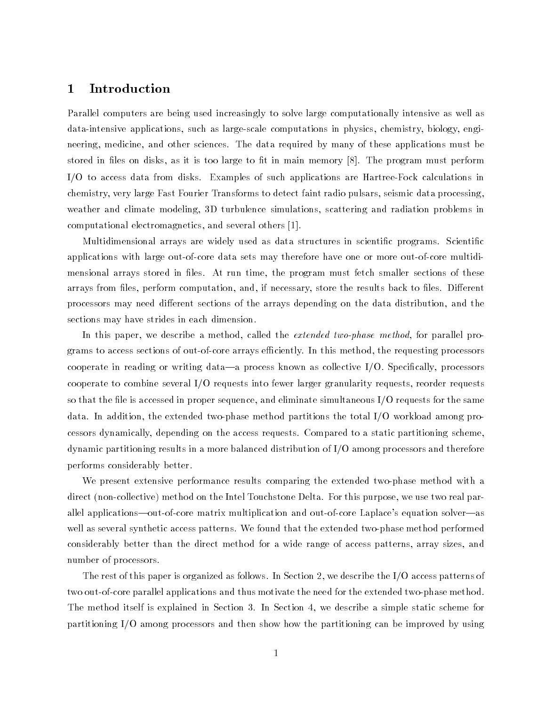### $\mathbf{1}$ Introduction

Parallel computers are being used increasingly to solve large computationally intensive as well as data-intensive applications, such as large-scale computations in physics, chemistry, biology, engineering medicines and other sciences. The data required by modes applications must be modes as stored in the store as it is to the surface to the memory  $\mathcal{L}$  is the program memory  $\mathcal{L}$  as it is to the performance of  $\mathcal{L}$ . In the disk such and distribution applications of such applications in the such as the such an applications in chemistry, very large Fast Fourier Transforms to detect faint radio pulsars, seismic data processing, weather and climate modeling, 3D turbulence simulations, scattering and radiation problems in computational electromagnetics, and several others  $[1]$ .

Multidimensional arrays are widely used as data structures in scientic programs- Scientic applications with large out-of-core data sets may therefore have one or more out-of-core multidimensional arrays stored in les- At run time the program must fetch smaller sections of these arrays from les perform computation and if necessary store the results back to les- Di erent processors may need di erent sections of the arrays depending on the data distribution and the sections may have strides in each dimension.

In this paper, we describe a method, called the *extended two-phase method*, for parallel pro- $\mathbf{I}$ cooperate in reading to writing data a process in the complete IO-collective IO-collective IO-collective IO-co cooperate to combine several  $I/O$  requests into fewer larger granularity requests, reorder requests so that the file is accessed in proper sequence, and eliminate simultaneous  $I/O$  requests for the same data- In addition the extended twophase method partitions the total IO workload among pro cessors dynamically depending on the access requests- Compared to a static partitioning scheme dynamic partitioning results in a more balanced distribution of I/O among processors and therefore performs considerably better-

We present extensive performance results comparing the extended two-phase method with a ancelle the Intel Touchstone method on the Intel Touchstone Delta-University and purpose we use the Intel Part allel applications—out-of-core matrix multiplication and out-of-core Laplace's equation solver—as were the second symphotics access patterns- we found that the extended two performed the extended two performed considerably better than the direct method for a wide range of access patterns, array sizes, and number of processors.

. The rest of the rest paper is organized as follows-the in Section 2001, we describe the IO access patterns of two out-of-core parallel applications and thus motivate the need for the extended two-phase method. The method is explained in Section - In Section - In Section - In Section - In Section - In Section - In Section partitioning  $I/O$  among processors and then show how the partitioning can be improved by using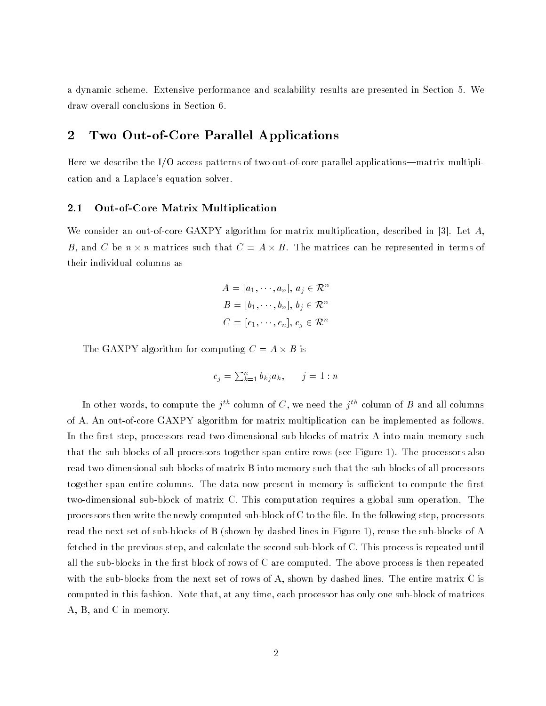a dynamic scheme- extensive performance and scalability results are presented in Section - Section - Section draw overall conclusions in Section 6.

### of-core Parallel Applications and the parallel applications of the core Parallel Applications and the core Parallel Core Parallel and the core Parallel and the core Parallel and the core Parallel and the core Parallel and

Here we describe the  $I/O$  access patterns of two out-of-core parallel applications—matrix multiplication and a Laplace's equation solver.

#### $2.1$ Out-of-Core Matrix Multiplication

we consider an outofcore Gazety algorithm for matrix multiplication multiplication and in  $\mathbb{F}_2$  and  $\mathbb{F}_2$ B and C be n a n matrices such that C a set that the matrices such that the matrices can be represented in terms of their individual columns as

$$
A = [a_1, \dots, a_n], a_j \in \mathcal{R}^n
$$

$$
B = [b_1, \dots, b_n], b_j \in \mathcal{R}^n
$$

$$
C = [c_1, \dots, c_n], c_j \in \mathcal{R}^n
$$

The GAXPY algorithm for computing  $C = A \times B$  is

$$
c_j = \sum_{k=1}^n b_{kj} a_k, \qquad j = 1:n
$$

In other words, to compute the  $\gamma$  column of  $\epsilon$  , we need the  $\gamma$  column of  $B$  and all columns of A- $\alpha$  algorithm for matrix multiplication can be implemented as follows-can be implemented as follows-can be implemented as follows-can be implemented as follows-can be implemented as follows-can be implemented as fol In the first step, processors read two-dimensional sub-blocks of matrix A into main memory such that the subset of all processors together span entire rows  $\mathbf{r}$  and  $\mathbf{r}$  also also be processors also be processed in the processors also be processed in the processors also be processed in the processors also be read two-dimensional sub-blocks of matrix B into memory such that the sub-blocks of all processors together span entire columns- The data now present in memory is sucient to compute the rst twodimensional subblock of matrix C- This computation requires a global sum operation- The processors then write the newly computed subblock of C to the le- In the following step processors read the next set of sub-blocks of B (shown by dashed lines in Figure 1), reuse the sub-blocks of A fetched in the previous step and calculate the second subblock of C- This process is repeated until all the substitutions in the above of ratio are computed above process is process is the above process is the with the subblocks from the subblocks from the next set of  $\mathcal A$  shown by dashed linescomputed in this fashion- Note that at any time each processor has only one subblock of matrices A, B, and C in memory.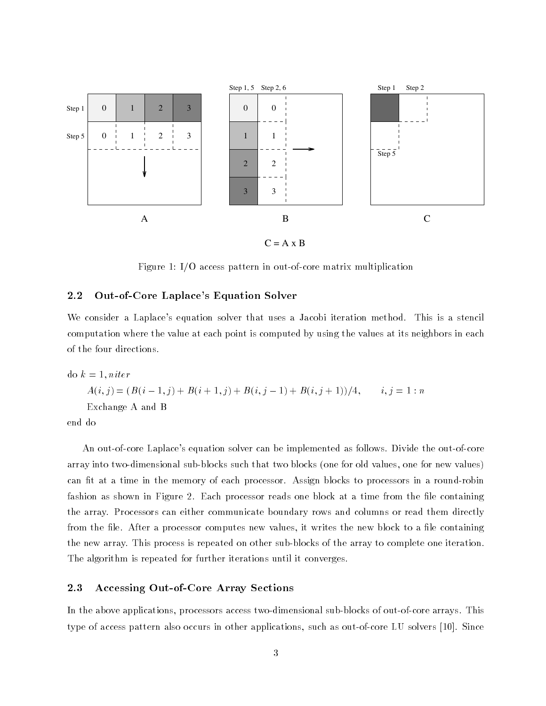



Figure 1: I/O access pattern in out-of-core matrix multiplication

#### Out-of-Core Laplace's Equation Solver  $2.2$

We consider a Laplaces equation solver that uses a Jacobi iteration method- This is a stencil computation where the value at each point is computed by using the values at its neighbors in each of the four directions-

 $\mathrm{do}\;k=1\;niter$  $A(i, j) = (B(i - 1, j) + B(i + 1, j) + B(i, j - 1) + B(i, j + 1))/4, \qquad i, j = 1 : n$ Exchange A and B end do

an out in the end protect quation solver can be implemented as follows-well-can the outofcore array into two-dimensional sub-blocks such that two blocks (one for old values, one for new values) can the memory of each processor-bin the memory of each processor-bin a roundrobing to processors in a roundrobing of each processor-bin a roundrobing to processors in a roundrobing to processors in a roundrobing to proces fashion as shown in Figure - Each processor reads one block at a time from the le containing the array- Processors can either communicate boundary rows and columns or read them directly from the le- After a processor computes new values it writes the new block to a le containing the new array- This process is repeated on other subblocks of the array to complete one iteration-The algorithm is repeated for further iterations until it converges.

### 2.3 Accessing Out-of-Core Array Sections

In the above applications processors access twodimensional subblocks of outofcore arrays- This type of access pattern also occurs in other applications such as outofcore LU solvers - Since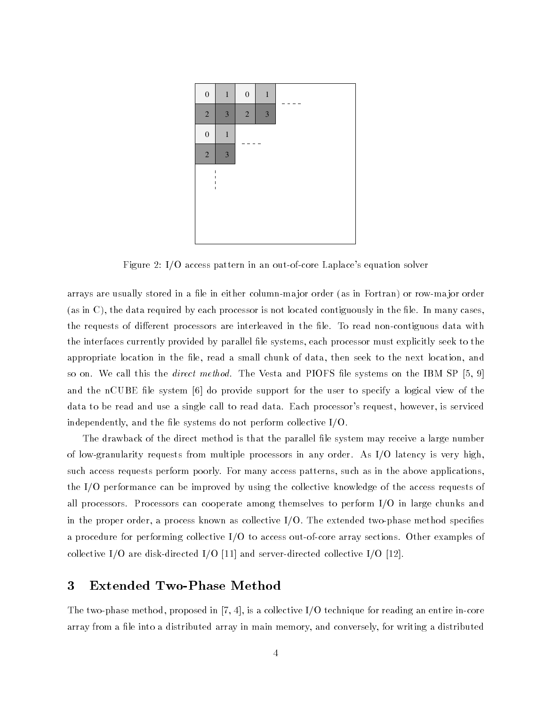

Figure 2: I/O access pattern in an out-of-core Laplace's equation solver

arrays are usually stored in a file in either column-major order (as in Fortran) or row-major order as in C the data required by each processor is not located continuously in the lethe requests of di erent processors are interleaved in the le- To read noncontiguous data with the interfaces currently provided by parallel file systems, each processor must explicitly seek to the appropriate location in the file, read a small chunk of data, then seek to the next location, and so on- We call this the direct method- The Vesta and PIOFS le systems on the IBM SP and the nCUBE file system  $\lceil 6 \rceil$  do provide support for the user to specify a logical view of the data to be read and use a single call to read data- Each processors request however is serviced independently, and the file systems do not perform collective  $I/O$ .

The drawback of the direct method is that the parallel file system may receive a large number of the granularity requests from monotopic processors in any order-of-order-of-order-order-order-ordersuch access requests perform poorly- For many access patterns such as in the above applications the  $I/O$  performance can be improved by using the collective knowledge of the access requests of all processors- Processors can cooperate among themselves to perform IO in large chunks and in the proper order a process known as collective IO- The extended twophase method species a procedure for performing collective IO to access outofcore array sections- Other examples of collective I/O are disk-directed I/O  $[11]$  and server-directed collective I/O  $[12]$ .

The two-phase method, proposed in  $[7, 4]$ , is a collective I/O technique for reading an entire in-core array from a file into a distributed array in main memory, and conversely, for writing a distributed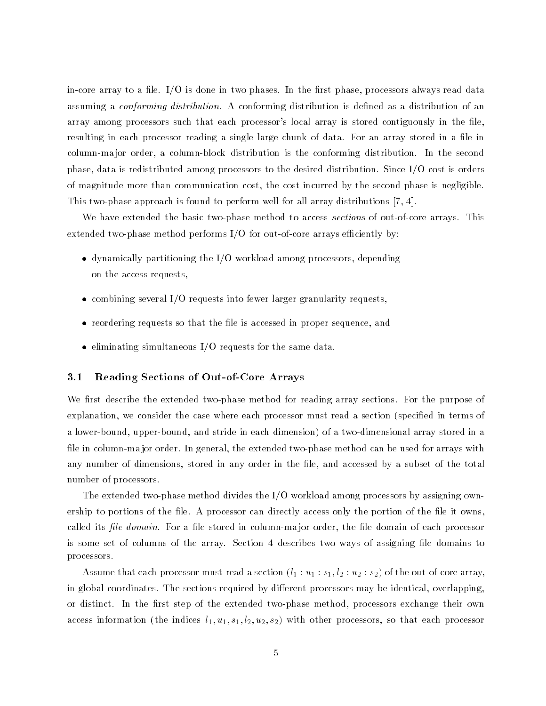incore array to a left by a le-moleculeum for the phases-called phases-called the ratio in the matter. In the assuming a conforming distribution-distribution-distribution-distribution-distribution is denoted as a distribution of an operator  $\mathcal{M}$ array among processors such that each processor's local array is stored contiguously in the file. resulting in each processor reading a single large chunk of data- For an array stored in a le in column ma jor order, a column and mathematical is the conforming distribution. The conformationphase data is redistributed among processors to the desired distribution- Since IO cost is orders of magnitude more than communication cost, the cost incurred by the second phase is negligible. This two-phase approach is found to perform well for all array distributions  $[7, 4]$ .

We have extended the basic twophase method to access sections of outofcore arrays- This extended two-phase method performs  $I/O$  for out-of-core arrays efficiently by:

- dynamically partitioning the IO workload among processors depending on the access requests
- $\bullet$  combining several I/O requests into fewer larger granularity requests,
- $\bullet$  reordering requests so that the file is accessed in proper sequence, and
- eliminating simultaneous  $I/O$  requests for the same data.

#### 3.1 Reading Sections of Out-of-Core Arrays

we read the extended the extended two possesses arranged for reading array sections-  $\mathbf{F}$  are purposed to explanation, we consider the case where each processor must read a section (specified in terms of a lower-bound, upper-bound, and stride in each dimension) of a two-dimensional array stored in a le in columna the extended two produced the extended two powers method can be used for arrays with any number of dimensions, stored in any order in the file, and accessed by a subset of the total number of processors.

The extended two-phase method divides the  $I/O$  workload among processors by assigning ownership to portions of the least of potterline alleged and the least portions of the least of the least  $\mathbf{r}$ called its let a letter it correct in column in column the letter in column of the letter processor in  $\mathcal{L}$ is some set of columns of the array- Section describes two ways of assigning le domains to processors-

l assume that each processor must read a section  $\mathcal{A}$  is the outofcore array for the outofcore array for the outofcore array for the outofcore array for the outofcore array for the outofcore array for the outofcore ar in global coordinates- The sections required by di erent processors may be identical overlapping or distinct- In the international corresponding to provide the extended processors exchange their own to the the interesting in the information of late  $\mathcal{A}$  and  $\mathcal{A}$  are controlled by the interest processors of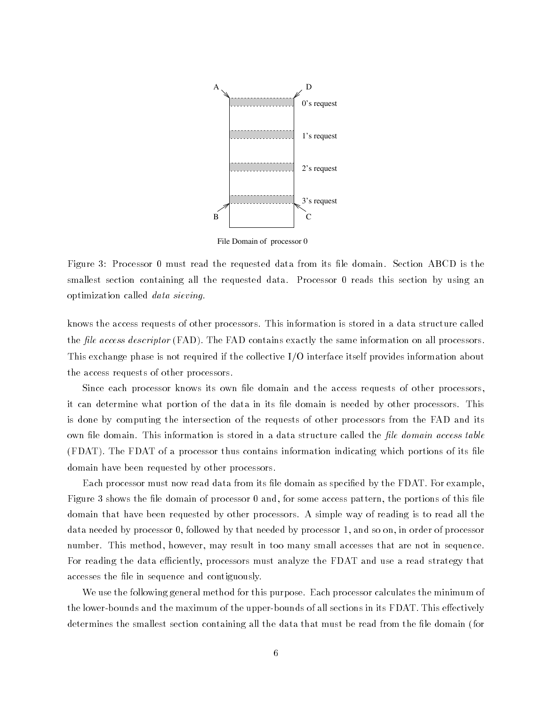

File Domain of processor 0

Figure Processor must read the requested data from its le domain- Section ABCD is the smallest section containing all the requested data-based data-based data-based data-based data-based data-based data-based data-based data-based data-based data-based data-based data-based data-based data-based data-based optimization called data sieving-

knows the access requests of other processors- This information is stored in a data structure called the less descriptions in the factor  $\mathcal{F}_t$  is the same information on all processors-contains the same interestion on all processors-This exchange phase is not required if the collective  $I/O$  interface itself provides information about the access requests of other processors-

Since each processor knows its own file domain and the access requests of other processors, it can determine what portion of the data in its le domain is needed by other processors- This is done by computing the intersection of the requests of other processors from the FAD and its own less information is stored information in a data structure called the less table the less table table table FDAT- The FDAT of a processor thus contains information indicating which portions of its le domain have been requested by other processors.

Each processor must now read data from its le domain as specied by the FDAT- For example Figure 3 shows the file domain of processor  $0$  and, for some access pattern, the portions of this file domain that have been requested by other processors- A simple way of reading is to read all the data needed by processor 0, followed by that needed by processor 1, and so on, in order of processor number-this method however may result in too many small accesses that are not in sequence-that are not in sequence-For reading the data efficiently, processors must analyze the FDAT and use a read strategy that accesses the file in sequence and contiguously.

We use the following general method for this purpose- Each processor calculates the minimum of the lower bounds and the maximum of the upper sections in its FDAT-C sections in its FDAT-C sections in  $\mathcal{F}$ determines the smallest section containing all the data that must be read from the file domain (for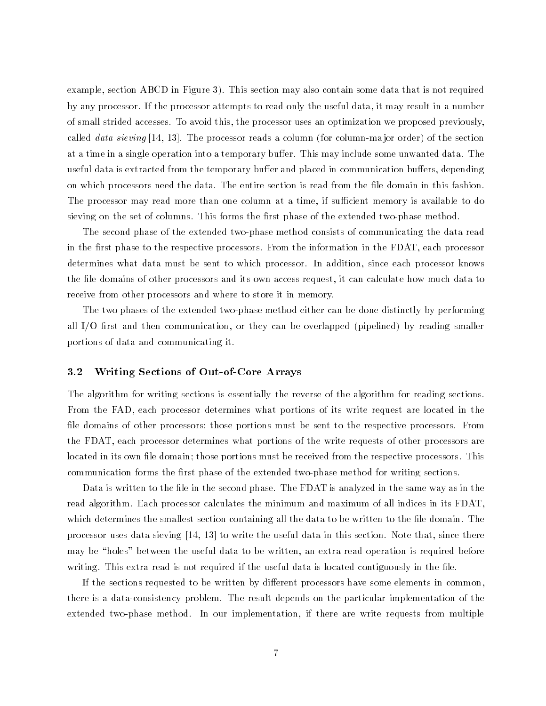example section ABCD in Figure - This section may also contain some data that is not required by any processor- If the processor attempts to read only the useful data it may result in a number of small strided accesses- To avoid this the processor uses an optimization we proposed previously called data sieving processor reads processor reads a column column section and processor and a column at a time in a single operation into a temporary built may include some universal and the matrix of the some useful data is extracted from the temporary building in communication business and placed in communication business on which processors need the data- The entire section is read from the le domain in this fashion-The processor may read more than one column at a time, if sufficient memory is available to do sieving on the set of columns- This forms the rst phase of the extended twophase method-

The second phase of the extended two-phase method consists of communicating the data read in the rst phase to the respective processors- From the information in the FDAT each processor determines whose which must be sent to which processor- and haddening process processor- addition to the file domains of other processors and its own access request, it can calculate how much data to receive from other processors and where to store it in memory-

The two phases of the extended two-phase method either can be done distinctly by performing all I/O first and then communication, or they can be overlapped (pipelined) by reading smaller portions of data and communicating it-

### 3.2 Writing Sections of Out-of-Core Arrays

The algorithm for writing sections is essentially the reverse of the algorithm for reading sections-From the FAD, each processor determines what portions of its write request are located in the le domains of other processors those portions must be sent to the respective processors- From the FDAT, each processor determines what portions of the write requests of other processors are located in its own le domain those portions must be received from the respective processors- This communication forms the first phase of the extended two-phase method for writing sections.

, we have the form in the second in the second phase-in the second in the same way as in the same way as in the read algorithm- Each processor calculates the minimum and maximum of all indices in its FDAT which determines the smallest section containing all the data to be written to the data to the leading to the processor uses data sieving write the useful data in this section-this section-this section-this section-that s may be "holes" between the useful data to be written, an extra read operation is required before writing-different is not required if the useful data is located if the useful data is located continuously in the le-

If the sections requested to be written by di erent processors have some elements in common there is a dataconstruction of problems which is a particular implementation of the particular in the particular extended twophase method- In our implementation if there are write requests from multiple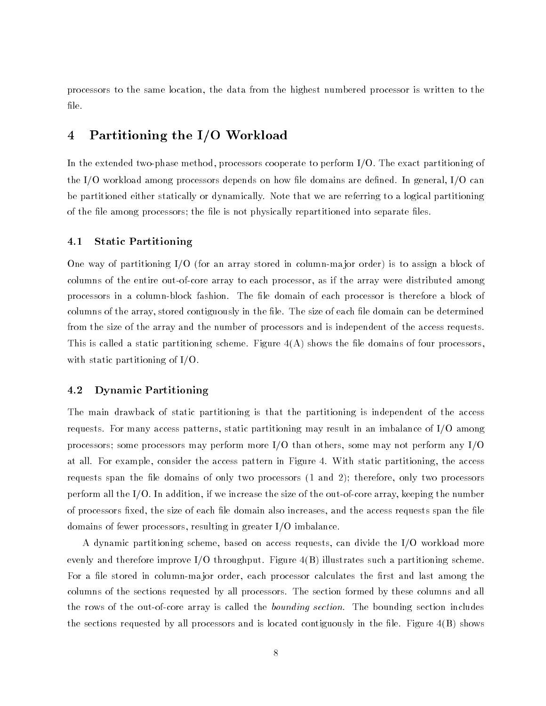processors to the same location, the data from the highest numbered processor is written to the file.

# 4 Partitioning the I/O Workload

In the extended twophase method processors cooperate to perform IO- The exact partitioning of the IO workload among processors depends on how le domains are dened- In general IO can be partitioned either statically or dynamically- Note that we are referring to a logical partitioning of the file among processors; the file is not physically repartitioned into separate files.

#### 4.1 Static Partitioning

One way of partitioning I/O (for an array stored in column-major order) is to assign a block of columns of the entire out-of-core array to each processor, as if the array were distributed among processors in a column and in a columnation- the letter is the processor in the letter at the sixth  $\sim$ columns of the array stored contiguously in the left with a file-domain can be determined and determined from the size of the array and the number of processors and is independent of the access requests- $\mathbf{A}$  static partitioning scheme-le domains of  $\mathbf{A}$  shows the left four processors of  $\mathbf{A}$ with static partitioning of  $I/O$ .

### Dynamic Partitioning

The main drawback of static partitioning is that the partitioning is independent of the access requests-to-construct access patterns static partitioning matrix in an impact in an impact of IO among the static in processors; some processors may perform more  $I/O$  than others, some may not perform any  $I/O$ at all- For example consider the access pattern in Figure - With static partitioning the access requests span the file domains of only two processors  $(1 \text{ and } 2)$ ; therefore, only two processors perform and the IO-C and in addition if we increase the size of the size of the size  $\mu$  the number of of processors fixed, the size of each file domain also increases, and the access requests span the file domains of fewer processors, resulting in greater  $I/O$  imbalance.

A dynamic partitioning scheme, based on access requests, can divide the  $I/O$  workload more evenly and therefore improve IO throughput- Figure 
B illustrates such a partitioning scheme-For a file stored in column-major order, each processor calculates the first and last among the columns of the sections requested by all processors- The section formed by these columns and all the rows of the outofcore array is called the bounding section-bounding sectionthe sections requested by all processors and is located continuously in the le-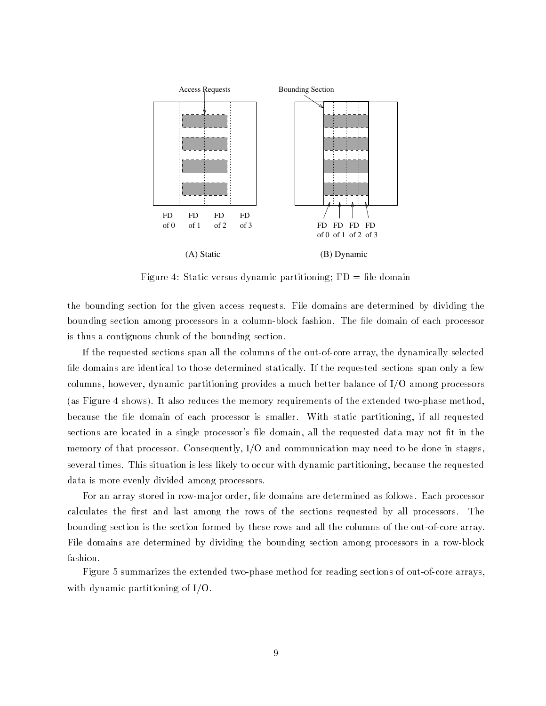

Figure 4: Static versus dynamic partitioning;  $FD = file$  domain

the bounding section for the given access requests- File domains are determined by dividing the o among section among processors in a column among the left fashion-section-section-section-sectionis thus a contiguous chunk of the bounding section-

If the requested sections span all the columns of the out-of-core array, the dynamically selected le domains are identical to those determined statically- If the requested sections span only a few columns, however, dynamic partitioning provides a much better balance of  $I/O$  among processors as Figure shows-the memory reduces the memory requirements of the memory requirements of the extended two  $1$ because the le domain of each processor is smaller- With static partitioning if all requested sections are located in a single processor's file domain, all the requested data may not fit in the memory of that processor- Consequently IO and communication may need to be done in stages several times- This situation is less likely to occur with dynamic partitioning because the requested data is more evenly divided among processors.

For an array stored in rowma jor order le domains are determined as follows- Each processor calculates the rows and last among the rows of the sections requested by all process. The sec bounding section is the section formed by these rows and all the columns of the out-of-core array. File domains are determined by dividing the bounding section among processors in a rowblock fashion.

Figure 5 summarizes the extended two-phase method for reading sections of out-of-core arrays. with dynamic partitioning of  $I/O$ .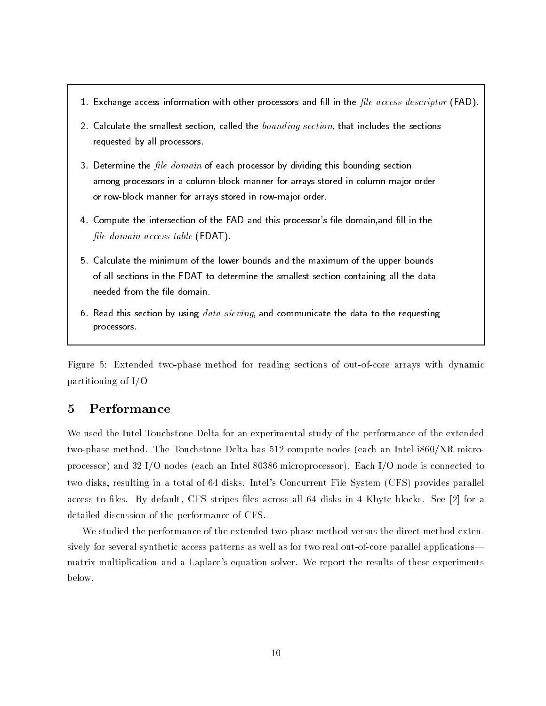- Exchange access information with other processors and -ll in the le access descriptor FAD
- 2. Calculate the smallest section, called the *bounding section*, that includes the sections requested by all processors
- 3. Determine the file domain of each processor by dividing this bounding section among processors in a column-block manner for arrays stored in column-major order or row-block manner for arrays stored in row-major order.
- Compute the intersection of the FAD and this processor s -le domainand -ll in the file domain access table  $(FDAT)$ .
- Calculate the minimum of the lower bounds and the maximum of the upper bounds of all sections in the FDAT to determine the smallest section containing all the data
- 6. Read this section by using  $data\, sieving$ , and communicate the data to the requesting processors

Figure 5: Extended two-phase method for reading sections of out-of-core arrays with dynamic partitioning of  $I/O$ 

## Performance

We used the Intel Touchstone Delta for an experimental study of the performance of the extended two performance and the Touchstone Delta has an Intel intel intel intel intel intelligible intelligible in processor, which is a process process was added to an interestingly models, a determined to a connected to two disks resulting in a total of a disks-total of the system of the system ( ) = 0 ) provides parallel access to define  $\Box$  default control and across all in the see the disks in the second all  $\Box$  and  $\Box$ detailed discussion of the performance of CFS.

We studied the performance of the extended two-phase method versus the direct method extensively for several synthetic access patterns as well as for two real out-of-core parallel applications matrix multiplication and a Laplaces equation solver-section solver-sections of the results of the results of below.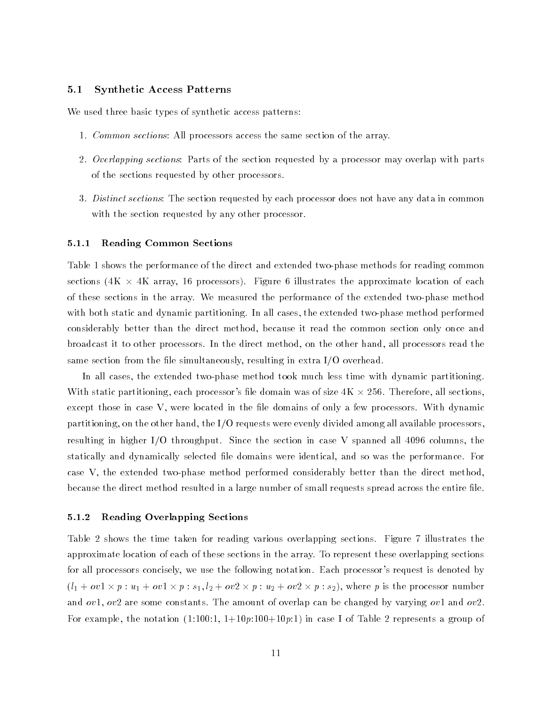#### $5.1$ Synthetic Access Patterns

We used three basic types of synthetic access patterns:

- - Common sections All processors access the same section of the array-
- Overlapping sections Parts of the section requested by a processor may overlap with parts of the sections requested by other processors-
- Distinct sections The section requested by each processor does not have any data in common with the section requested by any other processor.

### Reading Common Sections

Table 1 shows the performance of the direct and extended two-phase methods for reading common sections (and illustrates), as processors-location of examines the processors- approximate and control to of these sections in the array- We measured the performance of the extended twophase method with both static and dynamic partitioning-the extended two performed two performed two performed two performed considerably better than the direct method, because it read the common section only once and broadcast it to other processors- In the direct method on the other hand all processors read the same section from the file simultaneously, resulting in extra  $I/O$  overhead.

In all cases, the extended two-phase method took much less time with dynamic partitioning. with static partitioning each process is done made was of size  $\alpha$  . The section was of size  $\alpha$ except those in case V were located in the less into measurement of only a few processors- with dynamics of  $\sim$ partitioning, on the other hand, the  $I/O$  requests were evenly divided among all available processors, resulting in inguisting a column egerphic to the section in case in a problem in column to a columnity column statically and dynamically selected identically were identically and so was the performance-  $\bullet$  . case V, the extended two-phase method performed considerably better than the direct method, because the direct method resulted in a large number of small requests spread across the entire le-

#### 5.1.2 Reading Overlapping Sections

Table shows the time taken for reading various overlapping sections- Figure illustrates the approximate location of each of these sections in the array- To represent these overlapping sections for all processors concisely we use the following notation- Each processors request is denoted by l ov <sup>p</sup> u ov <sup>p</sup> s l- ov <sup>p</sup> u- ov <sup>p</sup> s- where p is the processor number and overlap overlap constants- The amount of overlap can be changed by varying overlap can be changed by varying over For example, the notation  $(1:100:1, 1+10p:100+10p:1)$  in case I of Table 2 represents a group of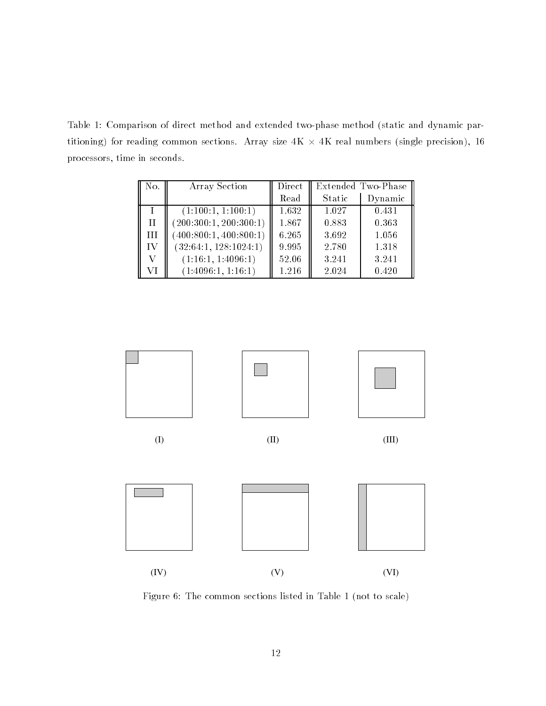Table 1: Comparison of direct method and extended two-phase method (static and dynamic partitioning for reading common size  $\mathbf{r}_i$  and the size  $\mathbf{r}_i$  and  $\mathbf{r}_i$  and  $\mathbf{r}_i$  and  $\mathbf{r}_i$ processors, time in seconds.

| No.          | Array Section          | Direct |        | Extended Two-Phase |
|--------------|------------------------|--------|--------|--------------------|
|              |                        | Read   | Static | Dynamic            |
|              | (1:100:1, 1:100:1)     | 1.632  | 1.027  | 0.431              |
| $\mathbf{H}$ | (200:300:1, 200:300:1) | 1.867  | 0.883  | 0.363              |
| Ш            | (400:800:1, 400:800:1) | 6.265  | 3.692  | 1.056              |
| ТV           | (32:64:1, 128:1024:1)  | 9.995  | 2.780  | 1.318              |
|              | (1:16:1, 1:4096:1)     | 52.06  | 3.241  | 3.241              |
| VІ           | (1:4096:1, 1:16:1)     | 1.216  | 2.024  | 0.420              |



Figure 6: The common sections listed in Table 1 (not to scale)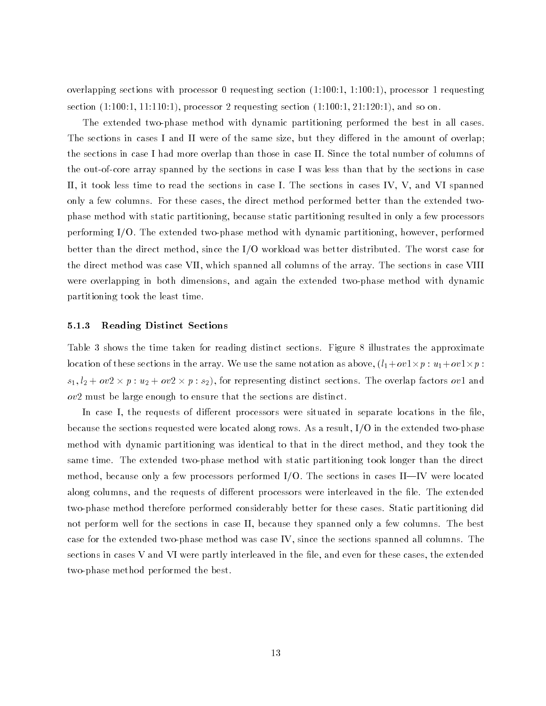overlapping sections with processor 0 requesting section  $(1:100:1, 1:100:1)$ , processor 1 requesting section  $(1:100:1, 11:110:1)$ , processor 2 requesting section  $(1:100:1, 21:120:1)$ , and so on.

The extended two-phase method with dynamic partitioning performed the best in all cases. The sections in cases I and II were of the same size but they di ered in the amount of overlap the sections in case I had more overlap thank that the those II-s and II-s and II-s and II-s and II-s and IIthe out-of-core array spanned by the sections in case I was less than that by the sections in case II it took less time to read the sections in case I- The sections in cases IV V and VI spanned only a few columns-direct method performed better than the direct method performed better than the extended two  $\mathbf{f}_i$ phase method with static partitioning because static partitioning resulted in only a few processors performing IO- The extended twophase method with dynamic partitioning however performed better thank the direct method since the IO work is the IO work was better distributed- was better distributed the direct method was case VII which spanned all columns of the array-sections in case  $\Gamma$ were overlapping in both dimensions, and again the extended two-phase method with dynamic partitioning took the least time-

#### 5.1.3 Reading Distinct Sections

Table  $\mathbf{f}$  the time taken for reading distinct sectionslocation of these sections in the array- We use the same notation as above 
lov p uov p s light section for representing the overlap factors over the overlap factors over the overlap factors over the  $ov<sub>2</sub>$  must be large enough to ensure that the sections are distinct.

In case I the requests of di erent processors were situated in separate locations in the le because the sections requested were located along rows- As a result IO in the extended twophase method with dynamic partitioning was identical to that in the direct method, and they took the same time- time-time-static method with static method with static partitioning took longer than the direct method because only a few processes performed I, at model in cases in the model is a section along columns and the requests of di erent processors were interleaved in the le- The extended two performed considerably better for the performed considerably better for the  $\mathcal{S}$ not perform were the sections in the section in case II because they spanned only a few columns- I made a few case for the extended two phase method was cased two since the sections spanned all columns- the section sections in cases V and VI were partly interleaved in the file, and even for these cases, the extended two-phase method performed the best.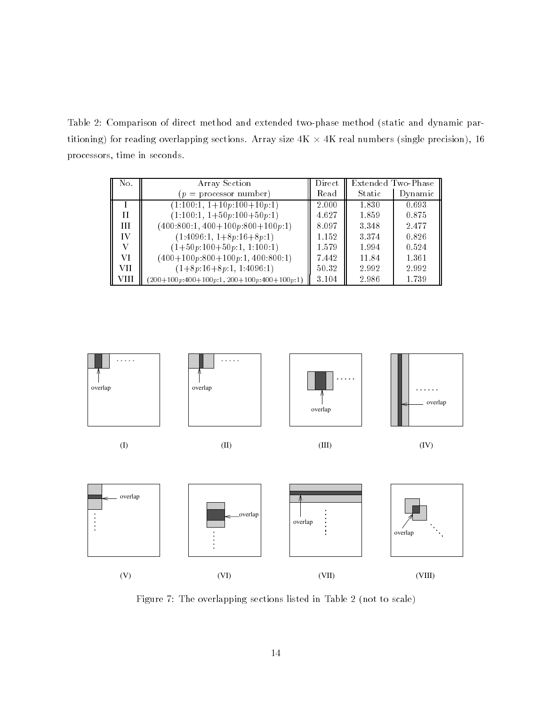Table 2: Comparison of direct method and extended two-phase method (static and dynamic partitioning for reading strengtheng sections- readily and the film array size  $\alpha$  and  $\beta$  really array single precision  $\beta$ processors, time in seconds.

| No.  | Array Section                                | Direct | Extended Two-Phase |         |
|------|----------------------------------------------|--------|--------------------|---------|
|      | $(p =$ processor number)                     | Read   | Static             | Dynamic |
|      | $(1:100:1, 1+10p:100+10p:1)$                 | 2.000  | 1.830              | 0.693   |
| Н    | $(1:100:1, 1+50p:100+50p:1)$                 | 4.627  | 1.859              | 0.875   |
| Ш    | $(400:800:1, 400+100p:800+100p:1)$           | 8.097  | 3.348              | 2.477   |
| IV   | $(1:4096:1, 1+8p:16+8p:1)$                   | 1.152  | 3.374              | 0.826   |
| V    | $(1+50p:100+50p:1, 1:100:1)$                 | 1.579  | 1.994              | 0.524   |
| VІ   | $(400+100p:800+100p:1, 400:800:1)$           | 7.442  | 11.84              | 1.361   |
| VH   | $(1+8p:16+8p:1, 1:4096:1)$                   | 50.32  | 2.992              | 2.992   |
| VIII | $(200+100p:400+100p:1, 200+100p:400+100p:1)$ | 3.104  | 2.986              | 1.739   |



Figure 7: The overlapping sections listed in Table 2 (not to scale)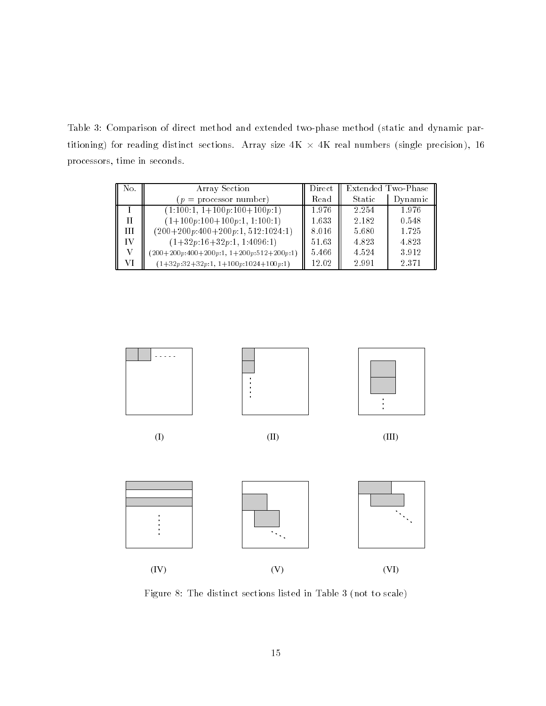Table 3: Comparison of direct method and extended two-phase method (static and dynamic partitioning for reading distinct sections. There, where the complete through precision  $\mu$  real  $\mu$ processors, time in seconds.

| No. | Array Section                              | Direct | Extended Two-Phase |         |
|-----|--------------------------------------------|--------|--------------------|---------|
|     | $(p =$ processor number)                   | Read   | Static             | Dynamic |
|     | $(1:100:1, 1+100p:100+100p:1)$             | 1.976  | 2.254              | 1.976   |
| Н   | $(1+100p:100+100p:1, 1:100:1)$             | 1.633  | 2.182              | 0.548   |
| Ш   | $(200+200p:400+200p:1, 512:1024:1)$        | 8.016  | 5.680              | 1.725   |
| IV  | $(1+32p:16+32p:1, 1:4096:1)$               | 51.63  | 4.823              | 4.823   |
|     | $(200+200p:400+200p:1, 1+200p:512+200p:1)$ | 5.466  | 4.524              | 3.912   |
| V I | $(1+32p:32+32p:1, 1+100p:1024+100p:1)$     | 12.02  | 2.991              | 2.371   |



Figure 8: The distinct sections listed in Table 3 (not to scale)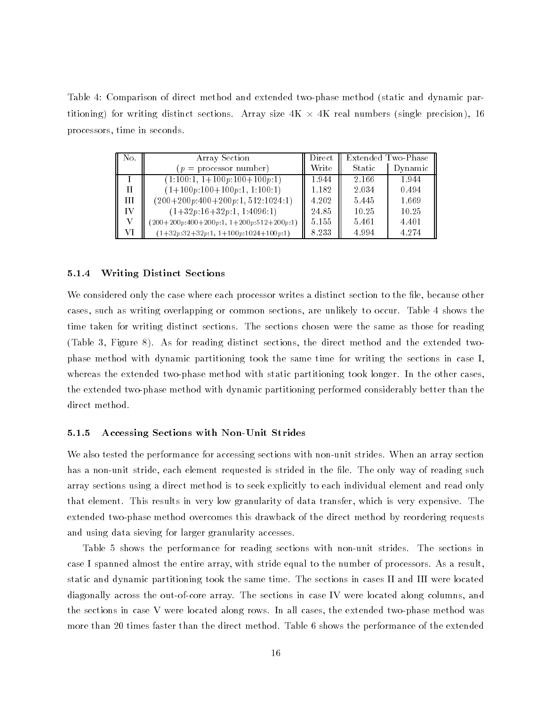Table 4: Comparison of direct method and extended two-phase method (static and dynamic partitioning for writing the distinct sections. There is no size that it is a precision precision of the complete processors, time in seconds.

| ll No. | Array Section                              | Direct | Extended Two-Phase |         |
|--------|--------------------------------------------|--------|--------------------|---------|
|        | $(p =$ processor number)                   | Write  | Static             | Dynamic |
|        | $(1:100:1, 1+100p:100+100p:1)$             | 1.944  | 2.166              | 1.944   |
| Н      | $(1+100p:100+100p:1, 1:100:1)$             | 1.182  | 2.034              | 0.494   |
| Ш      | $(200+200p:400+200p:1, 512:1024:1)$        | 4.202  | 5.445              | 1.669   |
| IV     | $(1+32p:16+32p:1, 1:4096:1)$               | 24.85  | 10.25              | 10.25   |
|        | $(200+200p:400+200p:1, 1+200p:512+200p:1)$ | 5.155  | 5.461              | 4.401   |
| VI     | $(1+32p:32+32p:1, 1+100p:1024+100p:1)$     | 8.233  | 4.994              | 4.274   |

#### 5.1.4 Writing Distinct Sections

We considered only the case where each processor writes a distinct section to the file, because other cases such as writing overlapping or common sections are unlikely to occur- Table shows the time taken for writing distinct sections- The sections chosen were the same as those for reading Table Figure - As for reading distinct sections the direct method and the extended two phase method with dynamic partitioning took the same time for writing the sections in case I where the extended two partitioning two partitioning took longer-cases  $\mathcal{W}$ the extended two-phase method with dynamic partitioning performed considerably better than the direct method.

### 5.1.5 Accessing Sections with Non-Unit Strides

We also tested the performance for accessing sections with nonunit strides- When an array section has a nonunit stride each element requested is strided in the le- The only way of reading such array sections using a direct method is to seek explicitly to each individual element and read only that element- This results in very low granularity of data transfer which is very expensive- The extended twophase method overcomes this drawback of the direct method by reordering requests and using data sieving for larger granularity accesses.

Table  $\Gamma$  shows the performance for reading sections with non-nunctions with non-nunctions  $\Gamma$ case I spanned almost the entire array with stride equal to the number of processors- As a result static and dynamic partitioning to section same time- time- the sections in cases in case and it were located diagonally across the outofcore array-benedictore array-the case in case in case in case  $\mathcal{A}$  columns and the sections in case V were located along rows-located the extended two planes in all cases the was more than times faster than the direct method- Table shows the performance of the extended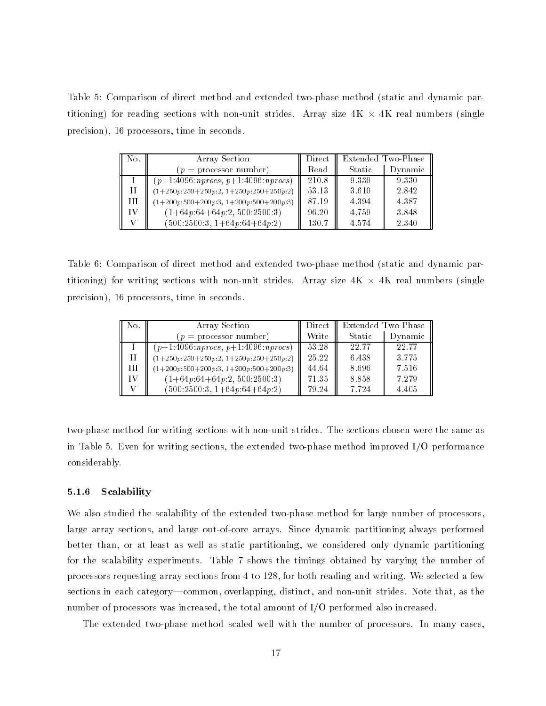Table 5: Comparison of direct method and extended two-phase method (static and dynamic partitioning for reading sections with nonunit strides- Array size K K real numbers 
single precision), 16 processors, time in seconds.

| No. | Array Section                                | Direct | Extended Two-Phase |         |  |
|-----|----------------------------------------------|--------|--------------------|---------|--|
|     | $(p =$ processor number)                     | Read   | Static             | Dynamic |  |
|     | $(p+1.4096: n\, procs, p+1.4096: n\, procs)$ | 210.8  | 9.330              | 9.330   |  |
| H   | $(1+250p:250+250p:2, 1+250p:250+250p:2)$     | 53.13  | 3.610              | 2.842   |  |
| Ш   | $(1+200p:500+200p:3, 1+200p:500+200p:3)$     | 87.19  | 4.394              | 4.387   |  |
| IV  | $(1+64p.64+64p.2, 500.2500.3)$               | 96.20  | 4.759              | 3.848   |  |
|     | $(500:2500:3, 1+64p:64+64p:2)$               | 130.7  | 4.574              | 2.340   |  |

Table 6: Comparison of direct method and extended two-phase method (static and dynamic partitioning for writing strides with non-size and strides- in the strides-  $\frac{1}{2}$  real numbers  $\frac{1}{2}$ precision), 16 processors, time in seconds.

| No. | Array Section                            | Direct | Extended Two-Phase |         |  |
|-----|------------------------------------------|--------|--------------------|---------|--|
|     | $(p =$ processor number)                 | Write  | Static             | Dynamic |  |
|     | $(p+1.4096: n\,, p+1.4096: n\,, p)$      | 53.28  | 22.77              | 22.77   |  |
| Ш   | $(1+250p:250+250p:2, 1+250p:250+250p:2)$ | 25.22  | 6.438              | 3.775   |  |
| Ш   | $(1+200p:500+200p:3, 1+200p:500+200p:3)$ | 44.64  | 8.696              | 7.516   |  |
| ΙV  | $(1+64p.64+64p.2, 500.2500.3)$           | 71.35  | 8.858              | 7.279   |  |
|     | $(500.2500.3, 1 + 64p.64 + 64p.2)$       | 79.24  | 7.724              | 4.405   |  |

two method for writing sections with non-nunctions with non-nunctions  $\mathbf{H}$ in Table - Even for writing sections the extended twophase method improved IO performance considerably-

#### 5.1.6 Scalability

We also studied the scalability of the extended two-phase method for large number of processors, large array sections and large outofcore arrays- Since dynamic partitioning always performed better than, or at least as well as static partitioning, we considered only dynamic partitioning for the scalability experiments- Table shows the timings obtained by varying the number of processors requesting array sections from 1 is the section from the model writing and writingsections in each categorycommon overlapping distinct and nonunit strides- Note that as the number of processors was increased, the total amount of  $I/O$  performed also increased.

The extended twophase method scaled well with the number of processors- In many cases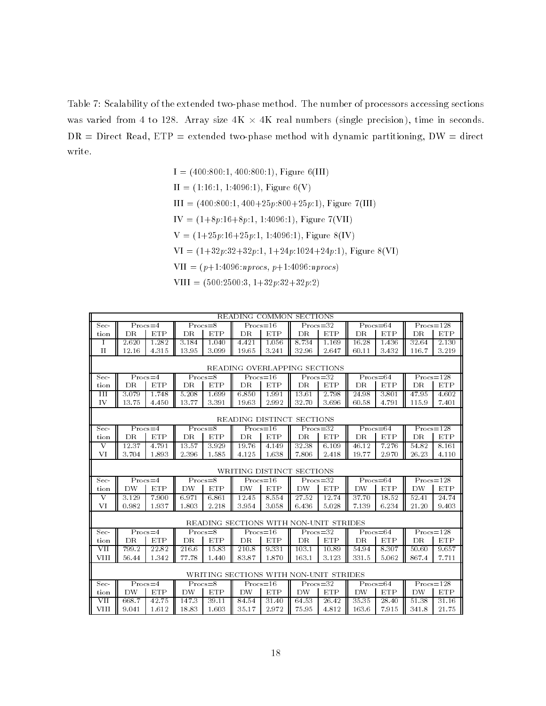Table  $\Gamma$  Scalability of the extended two processors accessing sections accessing sections accessing sections accessing sections accessing sections accessing sections accessing sections accessing sections accessing secti was varied in the total time in the compact  $\mathcal{L}$  are the second time in seconds-single precisions, the seconds- $DR = Direct Read, ETP = extended two-phase method with dynamic partitioning, DW = direct$ write.

> $\blacksquare$ -- 1-1-1-1-1-1-1-1-1-1-1-1-1-1 III - pp- Figure III IV pp- - Figure VII  $\mathcal{P}$  and  $\mathcal{P}$  are in the contract of the contract of the contract of the contract of the contract of the contract of the contract of the contract of the contract of the contract of the contract of the contract of views when the property of the property of the property of the property of the property of the property of the  $\mathbf{v}$  is a procedure in procedure in procedure  $\mathbf{v}$  $\frac{1}{2}$  ,  $\frac{1}{2}$  ,  $\frac{1}{2}$  ,  $\frac{1}{2}$  ,  $\frac{1}{2}$  ,  $\frac{1}{2}$  ,  $\frac{1}{2}$  ,  $\frac{1}{2}$  ,  $\frac{1}{2}$  ,  $\frac{1}{2}$  ,  $\frac{1}{2}$  ,  $\frac{1}{2}$  ,  $\frac{1}{2}$  ,  $\frac{1}{2}$  ,  $\frac{1}{2}$  ,  $\frac{1}{2}$  ,  $\frac{1}{2}$  ,  $\frac{1}{2}$  ,  $\frac{1$

|                      | READING COMMON SECTIONS      |                |                |             |                                        |              |              |            |              |              |               |               |
|----------------------|------------------------------|----------------|----------------|-------------|----------------------------------------|--------------|--------------|------------|--------------|--------------|---------------|---------------|
| $Sec-$               | $Procs = 4$<br>$Procs = 8$   |                |                |             |                                        | $Procs = 16$ | $Procs = 32$ |            | $Procs = 64$ |              | $Procs = 128$ |               |
| tion                 | DR                           | <b>ETP</b>     | DR.            | <b>ETP</b>  | D <sub>R</sub>                         | ETP          | DR           | <b>ETP</b> | DR.          | <b>ETP</b>   | DR            | ETP           |
| T                    | 2.620                        | 1.282          | 3.184          | 1.040       | 4.421                                  | 1.056        | 8.734        | 1.169      | 16.28        | 1.436        | 32.64         | 2.130         |
| $\mathbf{I}$         | 12.16                        | 4.315          | 13.95          | 3.099       | 19.65                                  | 3.241        | 32.96        | 2.647      | 60.11        | 3.432        | 116.7         | 3.219         |
|                      | READING OVERLAPPING SECTIONS |                |                |             |                                        |              |              |            |              |              |               |               |
| $Sec-$               | $Procs = 4$                  |                | $Procs = 8$    |             |                                        | $Procs = 16$ | $Procs = 32$ |            |              | $Procs = 64$ | $Procs = 128$ |               |
| tion                 | DR                           | <b>ETP</b>     | DR             | <b>ETP</b>  | DR                                     | <b>ETP</b>   | DR           | ETP        | DR           | ETP          | DR            | ETP           |
| $\overline{\rm III}$ | 3.079                        | 1.748          | 5.208          | 1.699       | 6.850                                  | 1.991        | 13.61        | 2.798      | 24.98        | 3.801        | 47.95         | 4.602         |
| IV                   | 13.75                        | 4.450          | 13.77          | 3.391       | 19.63                                  | 2.992        | 32.70        | 3.696      | 60.58        | 4.791        | 115.9         | 7.401         |
|                      |                              |                |                |             |                                        |              |              |            |              |              |               |               |
|                      |                              |                |                |             | READING DISTINCT SECTIONS              |              |              |            |              |              |               |               |
| $Sec-$               | $Procs = 4$                  |                |                | $Procs = 8$ |                                        | $Procs = 16$ | $Procs = 32$ |            |              | $Procs = 64$ |               | $Procs = 128$ |
| tion                 | DR                           | <b>ETP</b>     | DR             | ETP         | DR                                     | ETP          | DR           | ETP        | DR           | ETP          | DR            | ETP           |
| $\overline{V}$       | 12.37                        | 4.791          | 13.57          | 3.929       | 19.76                                  | 4.149        | 32.38        | 6.109      | 46.12        | 7.276        | 54.82         | 8.161         |
| VI                   | 3.704                        | 1.893          | 2.396          | 1.585       | 4.125                                  | 1.638        | 7.806        | 2.418      | 19.77        | 2.970        | 26.23         | 4.110         |
|                      |                              |                |                |             | WRITING DISTINCT SECTIONS              |              |              |            |              |              |               |               |
| $Sec-$               | $Procs = 4$                  |                | $Procs = 8$    |             |                                        | $Procs = 16$ | $Procs = 32$ |            | $Procs = 64$ |              | $Procs = 128$ |               |
| tion                 | DW                           | <b>ETP</b>     | <b>DW</b>      | ETP         | DW                                     | ETP          | <b>DW</b>    | ETP        | DW           | ETP          | DW            | ETP           |
| V                    | 3.129                        | 7.900          | 6.971          | 6.861       | 12.45                                  | 8.554        | 27.52        | 12.74      | 37.70        | 18.52        | 52.41         | 24.74         |
| VI                   | 0.982                        | 1.937          | 1.803          | 2.218       | 3.954                                  | 3.058        | 6.436        | 5.028      | 7.139        | 6.234        | 21.20         | 9.403         |
|                      |                              |                |                |             | READING SECTIONS WITH NON-UNIT STRIDES |              |              |            |              |              |               |               |
| $Sec-$               | $Procs = 4$                  |                | $Procs = 8$    |             |                                        | Proof 16     | $Procs = 32$ |            |              | $Procs = 64$ |               | $Procs = 128$ |
| tion                 | DR                           | <b>ETP</b>     | DR             | ETP         | DR                                     | <b>ETP</b>   | DR           | <b>ETP</b> | DR           | ETP          | DR            | ETP           |
| VII                  | 799.2                        | 22.82          | 216.6          | 15.83       | 210.8                                  | 9.331        | 103.1        | 10.89      | 54.94        | 8.307        | 50.60         | 9.657         |
| <b>VIII</b>          | 56.44                        | 1.342          | 77.78          | 1.440       | 83.87                                  | 1.870        | 163.1        | 3.123      | 331.5        | 5.062        | 867.4         | 7.711         |
|                      |                              |                |                |             |                                        |              |              |            |              |              |               |               |
|                      |                              |                |                |             | WRITING SECTIONS WITH NON-UNIT STRIDES |              |              |            |              |              |               |               |
| $Sec-$               | $Procs = 4$                  |                |                | $Procs = 8$ |                                        | $Procs = 16$ | $Procs = 32$ |            |              | $Procs = 64$ |               | $Procs = 128$ |
| tion                 | DW                           | <b>ETP</b>     | <b>DW</b>      | ETP         | <b>DW</b>                              | ETP          | DW.          | ETP        | <b>DW</b>    | ETP          | <b>DW</b>     | ETP           |
|                      |                              |                |                | 39.11       |                                        | 31.40        | 64.53        | 26.42      | 35.35        | 28.40        | 51.38         | 31.16         |
| VII<br><b>VIII</b>   | 668.7<br>9.041               | 42.75<br>1.612 | 147.3<br>18.83 | 1.603       | 84.54<br>35.17                         | 2.972        | 75.95        | 4.812      | 163.6        | 7.915        | 341.8         | 21.75         |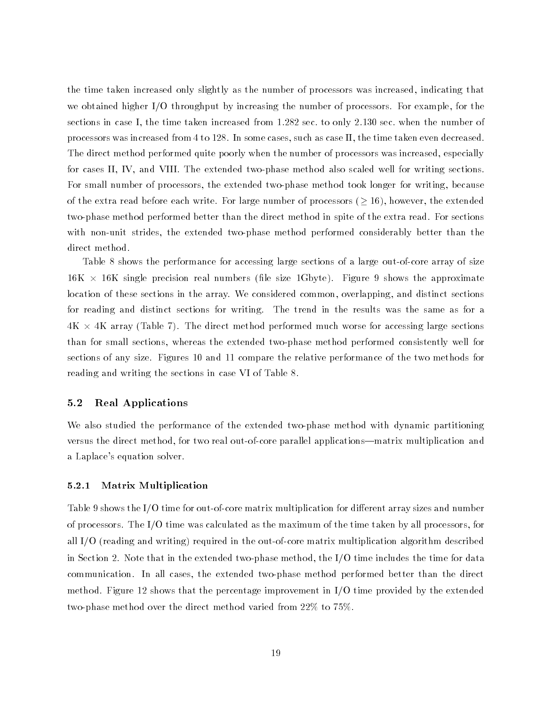the time taken increased only slightly as the number of processors was increased indicating that we obtained higher IO throughput by increasing the number of processors- For example for the sections in case I the time taken increased from the number of the number of the number of the number of the number of the number of the number of the number of the number of the number of the number of the number of the n processors was increased from the time taken the time taken as cases the time taken the time the time the time The direct method performed quite poorly when the number of processors was increased, especially for cases II IV and VIII- The extended twophase method also scaled well for writing sections-For small number of processors, the extended two-phase method took longer for writing, because of the extra read before the extra read and the extended the processors ( ) is going the extra and the extended two performed that the performed better than the direct method in spite of the extra reader of the extra readwith non-unit strides, the extended two-phase method performed considerably better than the direct method.

Table 8 shows the performance for accessing large sections of a large out-of-core array of size k is single precision real numbers (matched the appliest of the approximate  $\alpha$ location of these sections in the array- We considered common overlapping and distinct sections for reading and distinct sections for writing- The trend in the results was the same as for a k array the direct method and much worse for accessing large sections in the section of accessing large sections than for small sections, whereas the extended two-phase method performed consistently well for sections of any size-dimensions  $\Gamma$  and  $\Gamma$  compare the relative performance performance of the two methods for the two methods for the two methods for the two methods for the two methods for the two methods for the two reading and writing the sections in case VI of Table 8.

### 5.2 Real Applications

We also studied the performance of the extended two-phase method with dynamic partitioning versus the direct method, for two real out-of-core parallel applications—matrix multiplication and a Laplace's equation solver.

#### 5.2.1 Matrix Multiplication

Table  $\mathbb{R}$  the IO time for outofcore matrix multiplication for different array sizes and number  $\mathbb{R}$ of processors- The IO time was calculated as the maximum of the time taken by all processors for all  $I/O$  (reading and writing) required in the out-of-core matrix multiplication algorithm described in Section - That in the extended the extended the IO time includes the IO time for the time for data the time communication-than the extended the extended the performed better performed better thanks the direct method shows that the the the the percentage improvement in IO time provided by the extended by two-phase method over the direct method varied from  $22\%$  to  $75\%$ .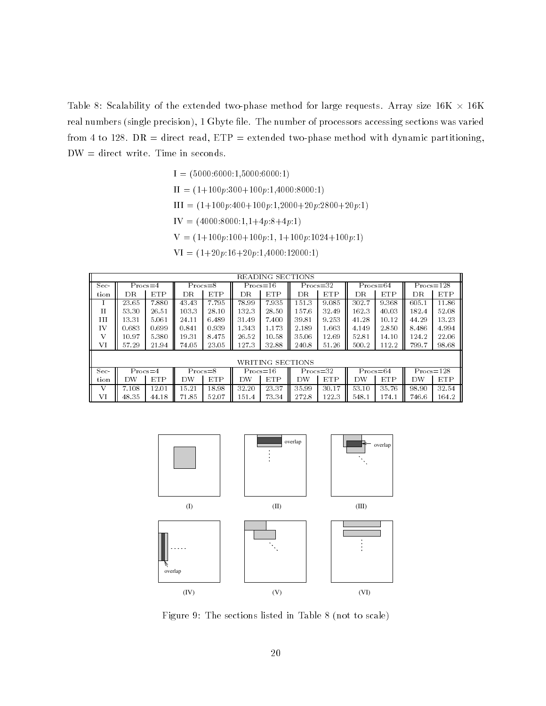Table statements in the extended two points included the extended transformation for large requestsreal accession is the number of processing section accessing sections was varied accessing to the contract of the contract of the section of the contract of the contract of the contract of the contract of the contract of t from to - DR direct read ETP extended twophase method with dynamic partitioning

- I -
- II pp-
- III pp-pp
- IV -pp
- where  $\mathbf{v}$  , the property of the property of the property of the property of the property of the property of the property of the property of the property of the property of the property of the property of the property

 $\gamma$  ,  $\gamma$  ,  $\gamma$  ,  $\gamma$  ,  $\gamma$  ,  $\gamma$  ,  $\gamma$  ,  $\gamma$  ,  $\gamma$  ,  $\gamma$  ,  $\gamma$  ,  $\gamma$  ,  $\gamma$  ,  $\gamma$  ,  $\gamma$  ,  $\gamma$  ,  $\gamma$  ,  $\gamma$  ,  $\gamma$  ,  $\gamma$  ,  $\gamma$  ,  $\gamma$  ,  $\gamma$  ,  $\gamma$  ,  $\gamma$  ,  $\gamma$  ,  $\gamma$  ,  $\gamma$  ,  $\gamma$  ,  $\gamma$  ,  $\gamma$  ,  $\gamma$ 

|        | READING SECTIONS                                                                            |            |             |            |       |                  |              |       |       |              |       |               |
|--------|---------------------------------------------------------------------------------------------|------------|-------------|------------|-------|------------------|--------------|-------|-------|--------------|-------|---------------|
| $Sec-$ | $Procs = 8$<br>$Procs = 128$<br>$Procs = 64$<br>$Procs = 4$<br>$Procs = 16$<br>$Procs = 32$ |            |             |            |       |                  |              |       |       |              |       |               |
| tion   | DR                                                                                          | <b>ETP</b> | DR          | <b>ETP</b> | DR.   | <b>ETP</b>       | DR           | ETP   | DR    | <b>ETP</b>   | DR.   | <b>ETP</b>    |
|        | 23.65                                                                                       | 7.880      | 43.43       | 7.795      | 78.99 | 7.935            | 151.3        | 9.085 | 302.7 | 9.368        | 605.1 | 11.86         |
| H      | 53.30                                                                                       | 26.51      | 103.3       | 28.10      | 132.3 | 28.50            | 157.6        | 32.49 | 162.3 | 40.03        | 182.4 | 52.08         |
| TП     | 13.31                                                                                       | 5.061      | 24.11       | 6.489      | 31.49 | 7.400            | 39.81        | 9.253 | 41.28 | 10.12        | 44.29 | 13.23         |
| TV     | 0.683                                                                                       | 0.699      | 0.841       | 0.939      | 1.343 | 1.173            | 2.189        | 1.663 | 4.149 | 2.850        | 8.486 | 4.994         |
| V      | 10.97                                                                                       | 5.380      | 19.31       | 8.475      | 26.52 | 10.58            | 35.06        | 12.69 | 52.81 | 14.10        | 124.2 | 22.06         |
| VI     | 57.29                                                                                       | 21.94      | 74.05       | 23.05      | 127.3 | 32.88            | 240.8        | 51.26 | 500.2 | 112.2        | 799.7 | 98.68         |
|        |                                                                                             |            |             |            |       |                  |              |       |       |              |       |               |
|        |                                                                                             |            |             |            |       | WRITING SECTIONS |              |       |       |              |       |               |
| Sec-   | $Procs = 4$                                                                                 |            | $Procs = 8$ |            |       | $Procs = 16$     | $Procs = 32$ |       |       | $Procs = 64$ |       | $Procs = 128$ |
| tion   | DW                                                                                          | <b>ETP</b> | DW          | ETP        | DW    | <b>ETP</b>       | DW           | ETP   | DW    | <b>ETP</b>   | DW    | ETP           |
| V      | 7.108                                                                                       | 12.01      | 15.21       | 18.98      | 32.20 | 23.37            | 35.99        | 30.17 | 53.10 | 35.76        | 98.90 | 32.54         |
| VI     | 48.35                                                                                       | 44.18      | 71.85       | 52.07      | 151.4 | 73.34            | 272.8        | 122.3 | 548.1 | 174.1        | 746.6 | 164.2         |



Figure 9: The sections listed in Table 8 (not to scale)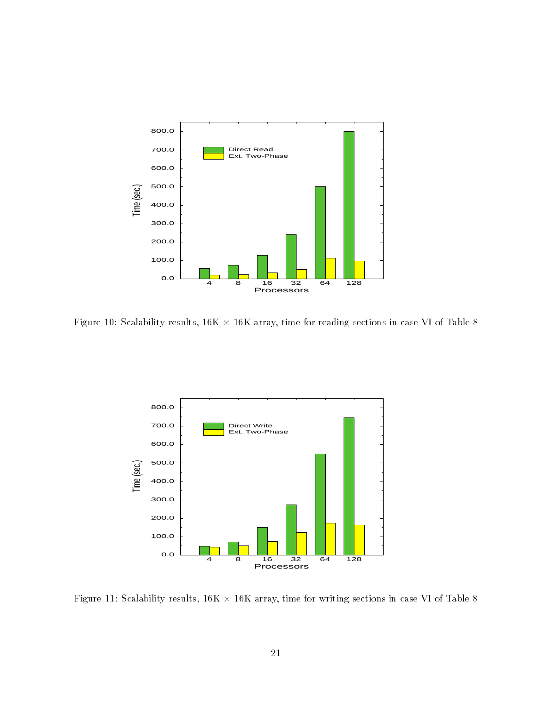

Figure 10: Scalability results,  $16K \times 16K$  array, time for reading sections in case VI of Table 8



Figure 11: Scalability results,  $16K \times 16K$  array, time for writing sections in case VI of Table 8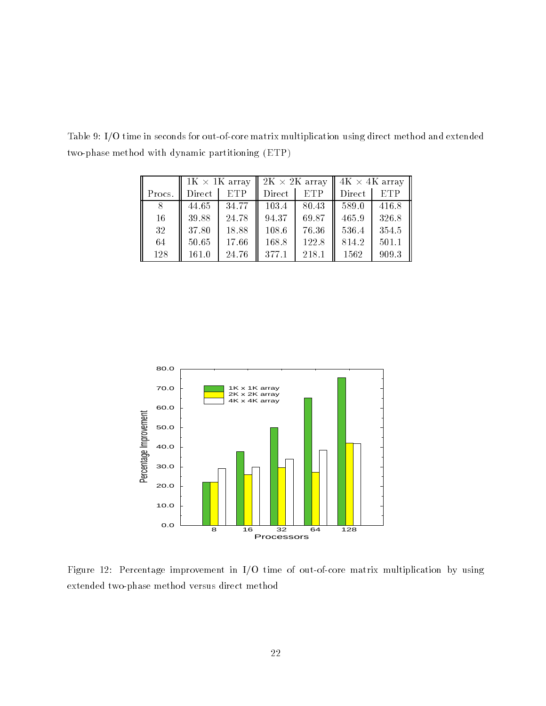|        | $1K \times 1K$ array |       | 2K $\times$ 2K array |       | $4K \times 4K$ array |            |  |
|--------|----------------------|-------|----------------------|-------|----------------------|------------|--|
| Procs. | Direct               | ETP   | Direct               | ETP   | Direct               | <b>ETP</b> |  |
| 8      | 44.65                | 34.77 | 103.4                | 80.43 | 589.0                | 416.8      |  |
| 16     | 39.88                | 24.78 | 94.37                | 69.87 | 465.9                | 326.8      |  |
| 32     | 37.80                | 18.88 | 108.6                | 76.36 | 536.4                | 354.5      |  |
| 64     | 50.65                | 17.66 | 168.8                | 122.8 | 814.2                | 501.1      |  |
| 128    | 161.0                | 24.76 | 377.1                | 218.1 | 1562                 | 909.3      |  |

Table 9: I/O time in seconds for out-of-core matrix multiplication using direct method and extended two-phase method with dynamic partitioning (ETP)



Figure 12: Percentage improvement in  $I/O$  time of out-of-core matrix multiplication by using extended two-phase method versus direct method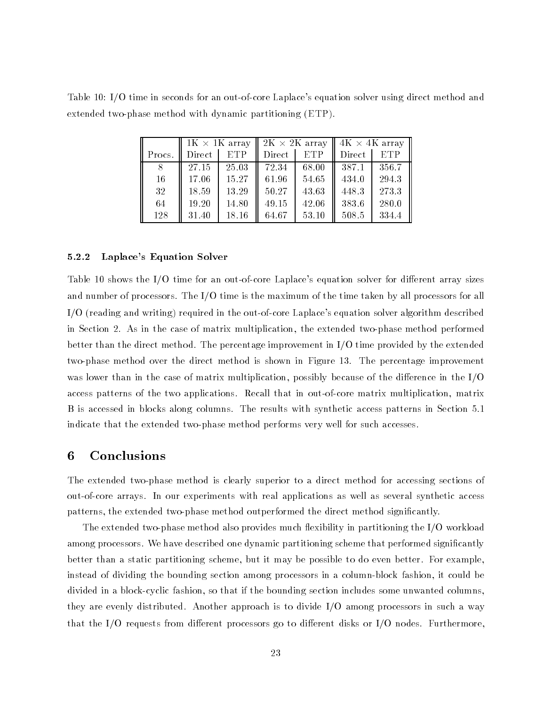Table 10: I/O time in seconds for an out-of-core Laplace's equation solver using direct method and extended two-phase method with dynamic partitioning  $(ETP)$ .

|        | $1K \times 1K$ array |       |        | $2K \times 2K$ array | $4K \times 4K$ array |       |  |
|--------|----------------------|-------|--------|----------------------|----------------------|-------|--|
| Procs. | Direct               | ETP   | Direct | ETP                  | Direct               | ETP   |  |
| 8      | 27.15                | 25.03 | 72.34  | 68.00                | -387.1               | 356.7 |  |
| 16     | 17.06                | 15.27 | 61.96  | 54.65                | 434.0                | 294.3 |  |
| 32     | 18.59                | 13.29 | 50.27  | 43.63                | 448.3                | 273.3 |  |
| 64     | 19.20                | 14.80 | 49.15  | 42.06                | 383.6                | 280.0 |  |
| 128    | 31.40                | 18.16 | 64.67  | 53.10                | 508.5                | 334.4 |  |

### 5.2.2 Laplace's Equation Solver

tables the ISC time  $\sim$  times the and out of the time solver for distances array sizes for distances array si and discussions is the processors-called the maximum of the maximum of the time taken by all processors for all  $I/O$  (reading and writing) required in the out-of-core Laplace's equation solver algorithm described in Section - As in the case of matrix multiplication the extended twophase method performed better than the direct method- The percentage improvement in IO time provided by the extended twophase method over the direct method is shown in Figure - The percentage improvement was lower than in the case of matrix multiplication possible because of the distribution possible distribution possible distribution possible distribution possible distribution possible distribution possible distribution o access patterns of the two applications- Recall that in outofcore matrix multiplication matrix B is accessed in blocks along columns- The results with synthetic access patterns in Section indicate that the extended two-phase method performs very well for such accesses.

### Conclusions

The extended two-phase method is clearly superior to a direct method for accessing sections of outofcore arrays- In our experiments with real applications with real applications as well as several synthetic patterns, the extended two-phase method outperformed the direct method significantly.

The extended two-phase method also provides much flexibility in partitioning the I/O workload among processors- we have described one dynamic partitioning scheme that performed significantly better than a static partitioning scheme but it may be possible to do even better- For example instead of dividing the bounding section among processors in a column-block fashion, it could be divided in a block-cyclic fashion, so that if the bounding section includes some unwanted columns, they are evenly distributed- Another approach is to divide IO among processors in suchaway that the IO requests from di erent processors go to di erent disks or IO nodes- Furthermore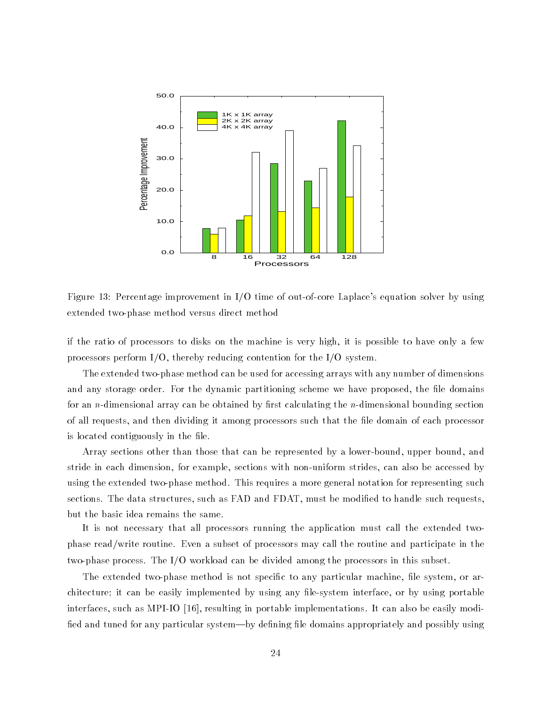

Figure 13: Percentage improvement in  $I/O$  time of out-of-core Laplace's equation solver by using extended two-phase method versus direct method

if the ratio of processors to disks on the machine is very high, it is possible to have only a few processors perform I/O, thereby reducing contention for the I/O system.

The extended two-phase method can be used for accessing arrays with any number of dimensions and any storage order-ric and dynamic partitioning scheme we have proposed the left the left the left the left for an *n*-dimensional array can be obtained by first calculating the *n*-dimensional bounding section of all requests, and then dividing it among processors such that the file domain of each processor is located contiguously in the file-

Array sections other than those that can be represented by a lower-bound, upper bound, and stride in each dimension, for example, sections with non-uniform strides, can also be accessed by using the extended twophase method- This requires a more general notation for representing such sections- were structured to data structures such as FAD and FAD and FAD and FDAT must be modified to handle s but the basic idea remains the same-

It is not necessary that all processors running the application must call the extended two pare ready called readers as subset of the routiness and particles in the routine and participate in the routi two posses process-can be divided among the indicated among the process in this subset-

The extended two-phase method is not specific to any particular machine, file system, or architecture; it can be easily implemented by using any file-system interface, or by using portable interfaces such as MPII III as MPIIO in portable implementations-in the same in the easy model in fied and tuned for any particular system—by defining file domains appropriately and possibly using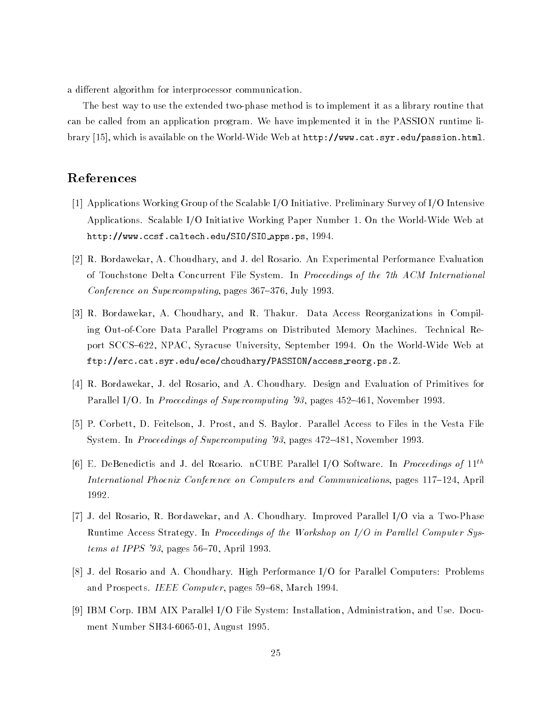a different algorithm for interpretation- communication-

The best way to use the extended two-phase method is to implement it as a library routine that can be called from an application program- We have implemented it in the PASSION runtime li brary which is available on the WorldWide Web at httpwww-cat-syr-edupassion-html-

### References

- Applications Working Group of the Scalable IO Initiative- Preliminary Survey of IO Intensive appear in the IO Initiative WorldWide WorldWide WorldWide WorldWide WorldWide WorldWide WorldWide Web at the W httpwww-ccsf-caltech-eduSIOSIO apps-ps -
- re an experimental performance experimental performance and experimental Performance experimental performance of Touchstone Delta Concurrent File System- In Proceedings of the -th ACM International Conference on Supercomputing, pages  $367-376$ , July 1993.
- R- Bordawekar A- Choudhary and R- Thakur- Data Access Reorganizations in Compil ing OutofCore Data Parallel Programs on Distributed Memory Machines- Technical Re port Scc Scheme Strategie University September 2007 - September 1999 - September 1999 - September 1999 - Septe ftperc-cat-syr-eduecechoudharyPASSIONaccess reorg-ps-Z-
- re and Rosario and A-Choudhary-A-Choudhary-A-Choudhary-A-Choudhary-A-Choudhary-A-Choudhary-A-Choudhary-A-Choud Parallel IO- In Proceedings of Supercomputing pages November -
- P- Corbett D- Feitelson J- Prost and S- Baylor- Parallel Access to Files in the Vesta File system - In Proceedings of Supercomputing International International International International
- $|0|$  E. Debenedictis and J. del Rosario. In UDE Parallel I/O Software. In *Proceedings of*  $\Pi^+$ International Phoenix Conference on Computers and Communications, pages 117-124, April 1992.
- J- del Rosario R- Bordawekar and A- Choudhary- Improved Parallel IO via a TwoPhase Runtime Access Strategy- In Proceedings of the Workshop on IO in Paral lel Computer Sys  $tems$  at IPPS '93, pages 56-70, April 1993.
- J- del Rosario and A- Choudhary- High Performance IO for Parallel Computers Problems and Prospects and Prospects pages in the model of the
- IBM Corp- IBM AIX Parallel IO File System Installation Administration and Use- Docu ment Number SH34-6065-01, August  $1995$ .